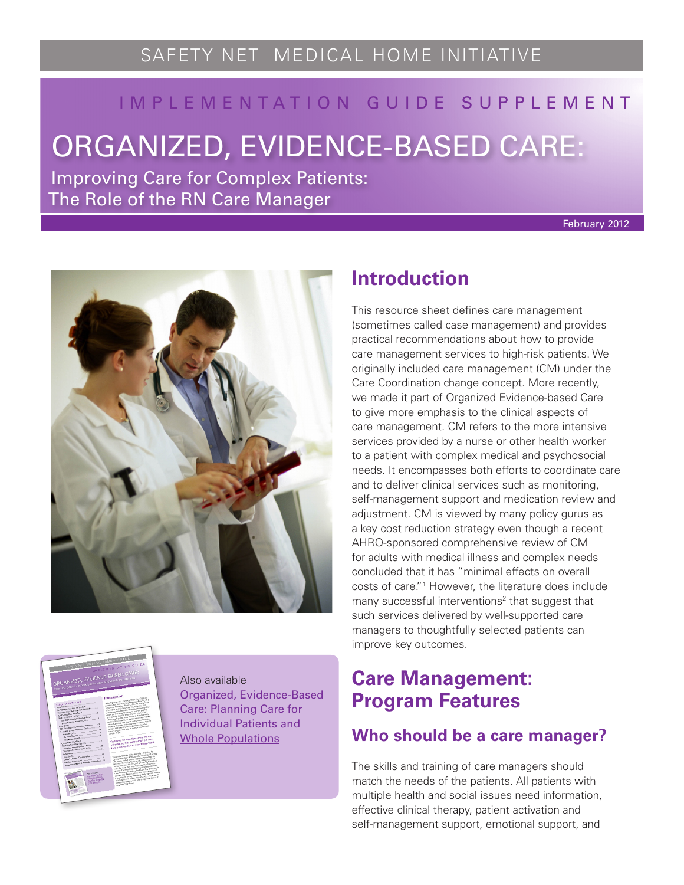# I M P L E M E N T A T I O N G U I D E S U P P L E M E N T

# ORGANIZED, EVIDENCE-BASED CARE:

Improving Care for Complex Patients: The Role of the RN Care Manager

February 2012





Also available [Organized, Evidence-Based](http://www.safetynetmedicalhome.org/sites/default/files/Implementation-Guide-Evidence-Based-Care.pdf) [Care: Planning Care for](http://www.safetynetmedicalhome.org/sites/default/files/Implementation-Guide-Evidence-Based-Care.pdf) [Individual Patients and](http://www.safetynetmedicalhome.org/sites/default/files/Implementation-Guide-Evidence-Based-Care.pdf) [Whole Populations](http://www.safetynetmedicalhome.org/sites/default/files/Implementation-Guide-Evidence-Based-Care.pdf)

# **Introduction**

This resource sheet defines care management (sometimes called case management) and provides practical recommendations about how to provide care management services to high-risk patients. We originally included care management (CM) under the Care Coordination change concept. More recently, we made it part of Organized Evidence-based Care to give more emphasis to the clinical aspects of care management. CM refers to the more intensive services provided by a nurse or other health worker to a patient with complex medical and psychosocial needs. It encompasses both efforts to coordinate care and to deliver clinical services such as monitoring, self-management support and medication review and adjustment. CM is viewed by many policy gurus as a key cost reduction strategy even though a recent AHRQ-sponsored comprehensive review of CM for adults with medical illness and complex needs concluded that it has "minimal effects on overall costs of care."1 However, the literature does include many successful interventions<sup>2</sup> that suggest that such services delivered by well-supported care managers to thoughtfully selected patients can improve key outcomes.

# **Care Management: Program Features**

# **Who should be a care manager?**

The skills and training of care managers should match the needs of the patients. All patients with multiple health and social issues need information, effective clinical therapy, patient activation and self-management support, emotional support, and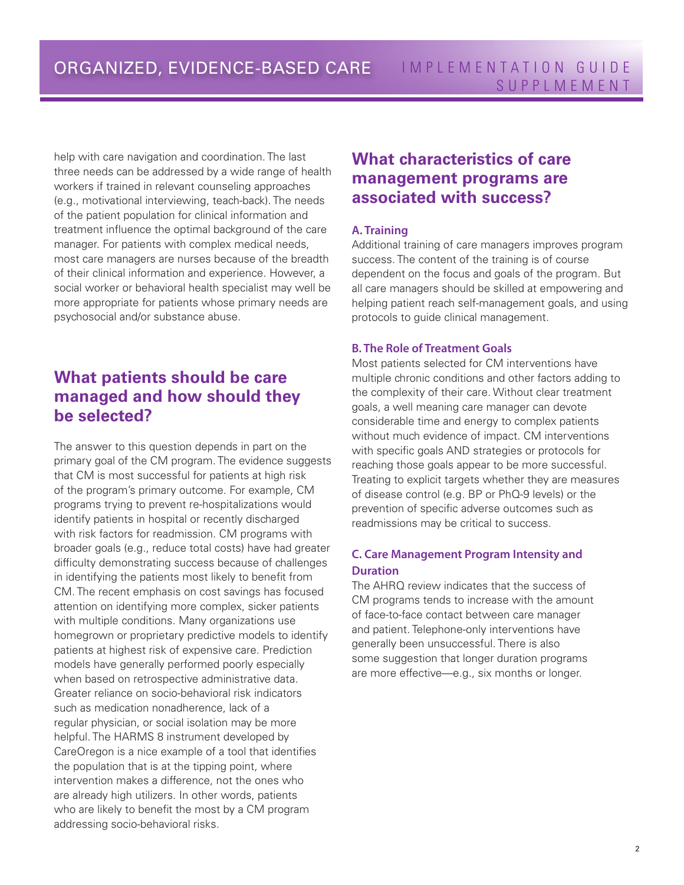help with care navigation and coordination. The last three needs can be addressed by a wide range of health workers if trained in relevant counseling approaches (e.g., motivational interviewing, teach-back). The needs of the patient population for clinical information and treatment influence the optimal background of the care manager. For patients with complex medical needs, most care managers are nurses because of the breadth of their clinical information and experience. However, a social worker or behavioral health specialist may well be more appropriate for patients whose primary needs are psychosocial and/or substance abuse.

# **What patients should be care managed and how should they be selected?**

The answer to this question depends in part on the primary goal of the CM program. The evidence suggests that CM is most successful for patients at high risk of the program's primary outcome. For example, CM programs trying to prevent re-hospitalizations would identify patients in hospital or recently discharged with risk factors for readmission. CM programs with broader goals (e.g., reduce total costs) have had greater difficulty demonstrating success because of challenges in identifying the patients most likely to benefit from CM. The recent emphasis on cost savings has focused attention on identifying more complex, sicker patients with multiple conditions. Many organizations use homegrown or proprietary predictive models to identify patients at highest risk of expensive care. Prediction models have generally performed poorly especially when based on retrospective administrative data. Greater reliance on socio-behavioral risk indicators such as medication nonadherence, lack of a regular physician, or social isolation may be more helpful. The HARMS 8 instrument developed by CareOregon is a nice example of a tool that identifies the population that is at the tipping point, where intervention makes a difference, not the ones who are already high utilizers. In other words, patients who are likely to benefit the most by a CM program addressing socio-behavioral risks.

### **What characteristics of care management programs are associated with success?**

#### **A. Training**

Additional training of care managers improves program success. The content of the training is of course dependent on the focus and goals of the program. But all care managers should be skilled at empowering and helping patient reach self-management goals, and using protocols to guide clinical management.

#### **B. The Role of Treatment Goals**

Most patients selected for CM interventions have multiple chronic conditions and other factors adding to the complexity of their care. Without clear treatment goals, a well meaning care manager can devote considerable time and energy to complex patients without much evidence of impact. CM interventions with specific goals AND strategies or protocols for reaching those goals appear to be more successful. Treating to explicit targets whether they are measures of disease control (e.g. BP or PhQ-9 levels) or the prevention of specific adverse outcomes such as readmissions may be critical to success.

#### **C. Care Management Program Intensity and Duration**

The AHRQ review indicates that the success of CM programs tends to increase with the amount of face-to-face contact between care manager and patient. Telephone-only interventions have generally been unsuccessful. There is also some suggestion that longer duration programs are more effective—e.g., six months or longer.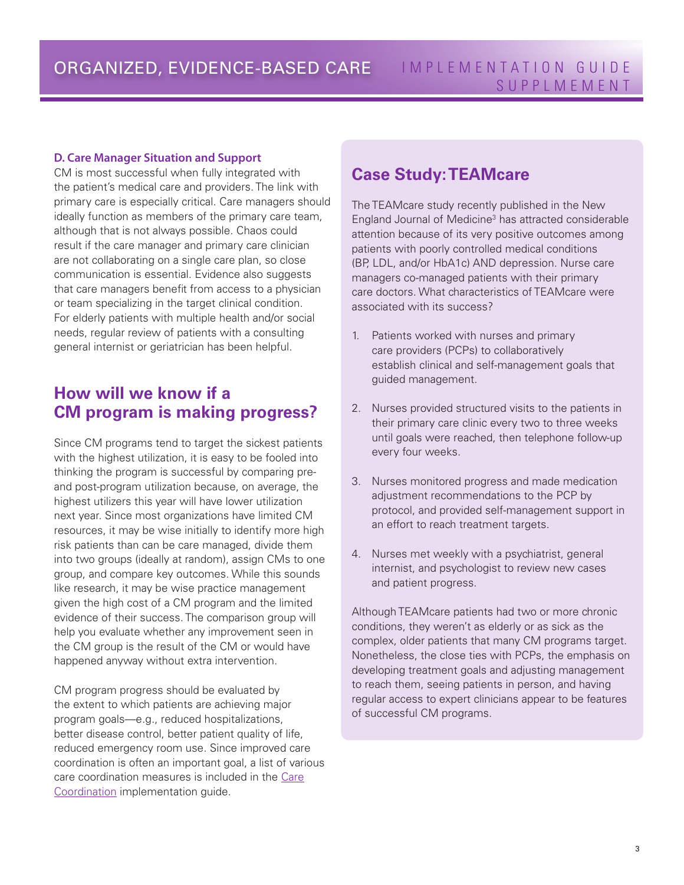#### **D. Care Manager Situation and Support**

CM is most successful when fully integrated with the patient's medical care and providers. The link with primary care is especially critical. Care managers should ideally function as members of the primary care team, although that is not always possible. Chaos could result if the care manager and primary care clinician are not collaborating on a single care plan, so close communication is essential. Evidence also suggests that care managers benefit from access to a physician or team specializing in the target clinical condition. For elderly patients with multiple health and/or social needs, regular review of patients with a consulting general internist or geriatrician has been helpful.

## **How will we know if a CM program is making progress?**

Since CM programs tend to target the sickest patients with the highest utilization, it is easy to be fooled into thinking the program is successful by comparing preand post-program utilization because, on average, the highest utilizers this year will have lower utilization next year. Since most organizations have limited CM resources, it may be wise initially to identify more high risk patients than can be care managed, divide them into two groups (ideally at random), assign CMs to one group, and compare key outcomes. While this sounds like research, it may be wise practice management given the high cost of a CM program and the limited evidence of their success. The comparison group will help you evaluate whether any improvement seen in the CM group is the result of the CM or would have happened anyway without extra intervention.

CM program progress should be evaluated by the extent to which patients are achieving major program goals—e.g., reduced hospitalizations, better disease control, better patient quality of life, reduced emergency room use. Since improved care coordination is often an important goal, a list of various care coordination measures is included in the [Care](http://www.safetynetmedicalhome.org/change-concepts/care-coordination) [Coordination](http://www.safetynetmedicalhome.org/change-concepts/care-coordination) implementation guide.

### **Case Study: TEAMcare**

The TEAMcare study recently published in the New England Journal of Medicine<sup>3</sup> has attracted considerable attention because of its very positive outcomes among patients with poorly controlled medical conditions (BP, LDL, and/or HbA1c) AND depression. Nurse care managers co-managed patients with their primary care doctors. What characteristics of TEAMcare were associated with its success?

- 1. Patients worked with nurses and primary care providers (PCPs) to collaboratively establish clinical and self-management goals that guided management.
- 2. Nurses provided structured visits to the patients in their primary care clinic every two to three weeks until goals were reached, then telephone follow-up every four weeks.
- 3. Nurses monitored progress and made medication adjustment recommendations to the PCP by protocol, and provided self-management support in an effort to reach treatment targets.
- 4. Nurses met weekly with a psychiatrist, general internist, and psychologist to review new cases and patient progress.

Although TEAMcare patients had two or more chronic conditions, they weren't as elderly or as sick as the complex, older patients that many CM programs target. Nonetheless, the close ties with PCPs, the emphasis on developing treatment goals and adjusting management to reach them, seeing patients in person, and having regular access to expert clinicians appear to be features of successful CM programs.